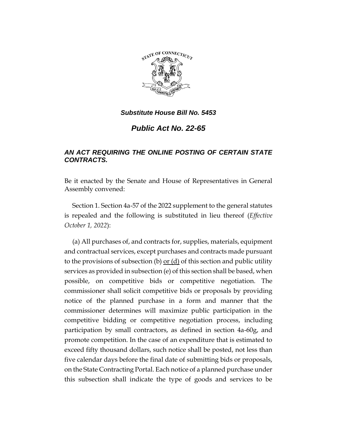

*Public Act No. 22-65*

## *AN ACT REQUIRING THE ONLINE POSTING OF CERTAIN STATE CONTRACTS.*

Be it enacted by the Senate and House of Representatives in General Assembly convened:

Section 1. Section 4a-57 of the 2022 supplement to the general statutes is repealed and the following is substituted in lieu thereof (*Effective October 1, 2022*):

(a) All purchases of, and contracts for, supplies, materials, equipment and contractual services, except purchases and contracts made pursuant to the provisions of subsection (b) <u>or (d)</u> of this section and public utility services as provided in subsection (e) of this section shall be based, when possible, on competitive bids or competitive negotiation. The commissioner shall solicit competitive bids or proposals by providing notice of the planned purchase in a form and manner that the commissioner determines will maximize public participation in the competitive bidding or competitive negotiation process, including participation by small contractors, as defined in section 4a-60g, and promote competition. In the case of an expenditure that is estimated to exceed fifty thousand dollars, such notice shall be posted, not less than five calendar days before the final date of submitting bids or proposals, on the State Contracting Portal. Each notice of a planned purchase under this subsection shall indicate the type of goods and services to be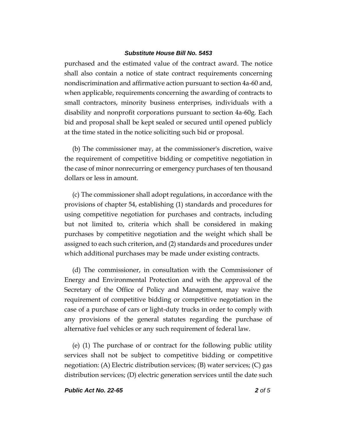purchased and the estimated value of the contract award. The notice shall also contain a notice of state contract requirements concerning nondiscrimination and affirmative action pursuant to section 4a-60 and, when applicable, requirements concerning the awarding of contracts to small contractors, minority business enterprises, individuals with a disability and nonprofit corporations pursuant to section 4a-60g. Each bid and proposal shall be kept sealed or secured until opened publicly at the time stated in the notice soliciting such bid or proposal.

(b) The commissioner may, at the commissioner's discretion, waive the requirement of competitive bidding or competitive negotiation in the case of minor nonrecurring or emergency purchases of ten thousand dollars or less in amount.

(c) The commissioner shall adopt regulations, in accordance with the provisions of chapter 54, establishing (1) standards and procedures for using competitive negotiation for purchases and contracts, including but not limited to, criteria which shall be considered in making purchases by competitive negotiation and the weight which shall be assigned to each such criterion, and (2) standards and procedures under which additional purchases may be made under existing contracts.

(d) The commissioner, in consultation with the Commissioner of Energy and Environmental Protection and with the approval of the Secretary of the Office of Policy and Management, may waive the requirement of competitive bidding or competitive negotiation in the case of a purchase of cars or light-duty trucks in order to comply with any provisions of the general statutes regarding the purchase of alternative fuel vehicles or any such requirement of federal law.

(e) (1) The purchase of or contract for the following public utility services shall not be subject to competitive bidding or competitive negotiation: (A) Electric distribution services; (B) water services; (C) gas distribution services; (D) electric generation services until the date such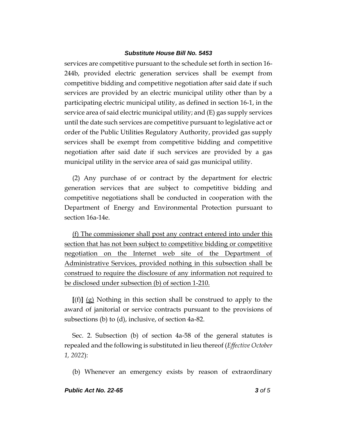services are competitive pursuant to the schedule set forth in section 16- 244b, provided electric generation services shall be exempt from competitive bidding and competitive negotiation after said date if such services are provided by an electric municipal utility other than by a participating electric municipal utility, as defined in section 16-1, in the service area of said electric municipal utility; and (E) gas supply services until the date such services are competitive pursuant to legislative act or order of the Public Utilities Regulatory Authority, provided gas supply services shall be exempt from competitive bidding and competitive negotiation after said date if such services are provided by a gas municipal utility in the service area of said gas municipal utility.

(2) Any purchase of or contract by the department for electric generation services that are subject to competitive bidding and competitive negotiations shall be conducted in cooperation with the Department of Energy and Environmental Protection pursuant to section 16a-14e.

(f) The commissioner shall post any contract entered into under this section that has not been subject to competitive bidding or competitive negotiation on the Internet web site of the Department of Administrative Services, provided nothing in this subsection shall be construed to require the disclosure of any information not required to be disclosed under subsection (b) of section 1-210.

**[**(f)**]** (g) Nothing in this section shall be construed to apply to the award of janitorial or service contracts pursuant to the provisions of subsections (b) to (d), inclusive, of section 4a-82.

Sec. 2. Subsection (b) of section 4a-58 of the general statutes is repealed and the following is substituted in lieu thereof (*Effective October 1, 2022*):

(b) Whenever an emergency exists by reason of extraordinary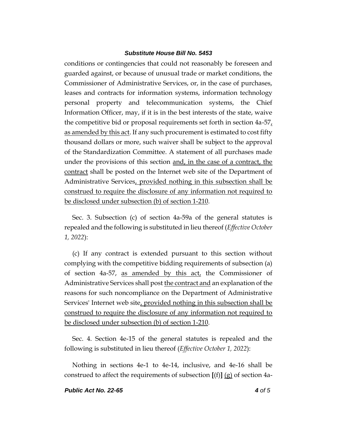conditions or contingencies that could not reasonably be foreseen and guarded against, or because of unusual trade or market conditions, the Commissioner of Administrative Services, or, in the case of purchases, leases and contracts for information systems, information technology personal property and telecommunication systems, the Chief Information Officer, may, if it is in the best interests of the state, waive the competitive bid or proposal requirements set forth in section  $4a-57<sub>L</sub>$ as amended by this act. If any such procurement is estimated to cost fifty thousand dollars or more, such waiver shall be subject to the approval of the Standardization Committee. A statement of all purchases made under the provisions of this section and, in the case of a contract, the contract shall be posted on the Internet web site of the Department of Administrative Services, provided nothing in this subsection shall be construed to require the disclosure of any information not required to be disclosed under subsection (b) of section 1-210.

Sec. 3. Subsection (c) of section 4a-59a of the general statutes is repealed and the following is substituted in lieu thereof (*Effective October 1, 2022*):

(c) If any contract is extended pursuant to this section without complying with the competitive bidding requirements of subsection (a) of section 4a-57, as amended by this act, the Commissioner of Administrative Services shall post the contract and an explanation of the reasons for such noncompliance on the Department of Administrative Services' Internet web site, provided nothing in this subsection shall be construed to require the disclosure of any information not required to be disclosed under subsection (b) of section 1-210.

Sec. 4. Section 4e-15 of the general statutes is repealed and the following is substituted in lieu thereof (*Effective October 1, 2022*):

Nothing in sections 4e-1 to 4e-14, inclusive, and 4e-16 shall be construed to affect the requirements of subsection  $[(f)] (g)$  of section 4a-